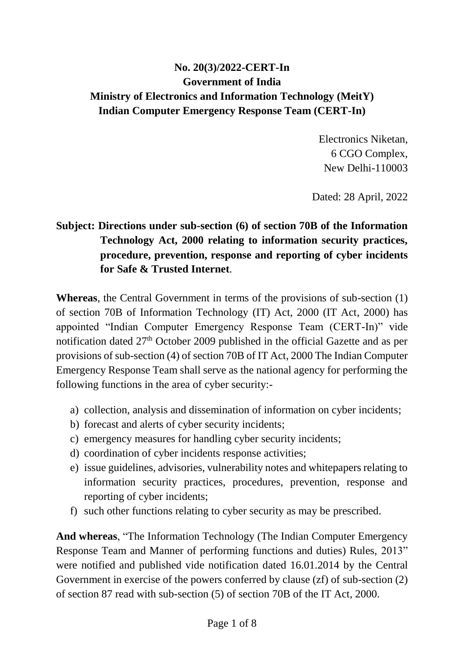## **No. 20(3)/2022-CERT-In Government of India Ministry of Electronics and Information Technology (MeitY) Indian Computer Emergency Response Team (CERT-In)**

Electronics Niketan, 6 CGO Complex, New Delhi-110003

Dated: 28 April, 2022

## **Subject: Directions under sub-section (6) of section 70B of the Information Technology Act, 2000 relating to information security practices, procedure, prevention, response and reporting of cyber incidents for Safe & Trusted Internet**.

**Whereas**, the Central Government in terms of the provisions of sub-section (1) of section 70B of Information Technology (IT) Act, 2000 (IT Act, 2000) has appointed "Indian Computer Emergency Response Team (CERT-In)" vide notification dated 27<sup>th</sup> October 2009 published in the official Gazette and as per provisions of sub-section (4) of section 70B of IT Act, 2000 The Indian Computer Emergency Response Team shall serve as the national agency for performing the following functions in the area of cyber security:-

- a) collection, analysis and dissemination of information on cyber incidents;
- b) forecast and alerts of cyber security incidents;
- c) emergency measures for handling cyber security incidents;
- d) coordination of cyber incidents response activities;
- e) issue guidelines, advisories, vulnerability notes and whitepapers relating to information security practices, procedures, prevention, response and reporting of cyber incidents;
- f) such other functions relating to cyber security as may be prescribed.

**And whereas**, "The Information Technology (The Indian Computer Emergency Response Team and Manner of performing functions and duties) Rules, 2013" were notified and published vide notification dated 16.01.2014 by the Central Government in exercise of the powers conferred by clause (zf) of sub-section (2) of section 87 read with sub-section (5) of section 70B of the IT Act, 2000.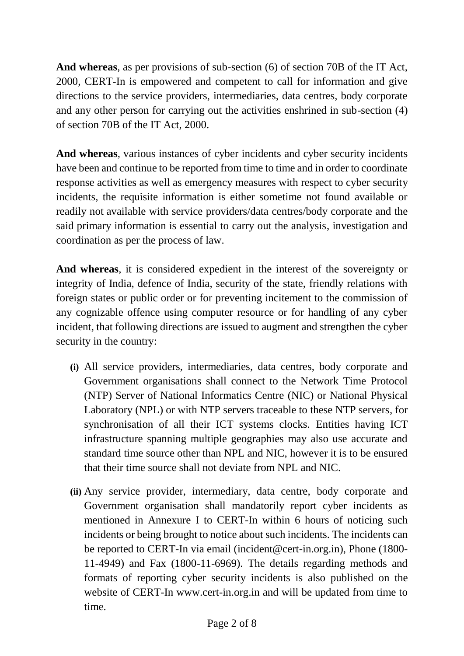**And whereas**, as per provisions of sub-section (6) of section 70B of the IT Act, 2000, CERT-In is empowered and competent to call for information and give directions to the service providers, intermediaries, data centres, body corporate and any other person for carrying out the activities enshrined in sub-section (4) of section 70B of the IT Act, 2000.

**And whereas**, various instances of cyber incidents and cyber security incidents have been and continue to be reported from time to time and in order to coordinate response activities as well as emergency measures with respect to cyber security incidents, the requisite information is either sometime not found available or readily not available with service providers/data centres/body corporate and the said primary information is essential to carry out the analysis, investigation and coordination as per the process of law.

**And whereas**, it is considered expedient in the interest of the sovereignty or integrity of India, defence of India, security of the state, friendly relations with foreign states or public order or for preventing incitement to the commission of any cognizable offence using computer resource or for handling of any cyber incident, that following directions are issued to augment and strengthen the cyber security in the country:

- **(i)** All service providers, intermediaries, data centres, body corporate and Government organisations shall connect to the Network Time Protocol (NTP) Server of National Informatics Centre (NIC) or National Physical Laboratory (NPL) or with NTP servers traceable to these NTP servers, for synchronisation of all their ICT systems clocks. Entities having ICT infrastructure spanning multiple geographies may also use accurate and standard time source other than NPL and NIC, however it is to be ensured that their time source shall not deviate from NPL and NIC.
- **(ii)** Any service provider, intermediary, data centre, body corporate and Government organisation shall mandatorily report cyber incidents as mentioned in Annexure I to CERT-In within 6 hours of noticing such incidents or being brought to notice about such incidents. The incidents can be reported to CERT-In via email (incident@cert-in.org.in), Phone (1800- 11-4949) and Fax (1800-11-6969). The details regarding methods and formats of reporting cyber security incidents is also published on the website of CERT-In www.cert-in.org.in and will be updated from time to time.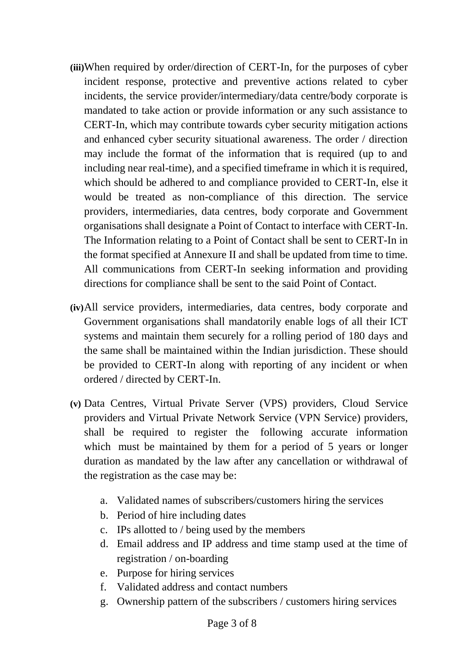- **(iii)**When required by order/direction of CERT-In, for the purposes of cyber incident response, protective and preventive actions related to cyber incidents, the service provider/intermediary/data centre/body corporate is mandated to take action or provide information or any such assistance to CERT-In, which may contribute towards cyber security mitigation actions and enhanced cyber security situational awareness. The order / direction may include the format of the information that is required (up to and including near real-time), and a specified timeframe in which it is required, which should be adhered to and compliance provided to CERT-In, else it would be treated as non-compliance of this direction. The service providers, intermediaries, data centres, body corporate and Government organisations shall designate a Point of Contact to interface with CERT-In. The Information relating to a Point of Contact shall be sent to CERT-In in the format specified at Annexure II and shall be updated from time to time. All communications from CERT-In seeking information and providing directions for compliance shall be sent to the said Point of Contact.
- **(iv)**All service providers, intermediaries, data centres, body corporate and Government organisations shall mandatorily enable logs of all their ICT systems and maintain them securely for a rolling period of 180 days and the same shall be maintained within the Indian jurisdiction. These should be provided to CERT-In along with reporting of any incident or when ordered / directed by CERT-In.
- **(v)** Data Centres, Virtual Private Server (VPS) providers, Cloud Service providers and Virtual Private Network Service (VPN Service) providers, shall be required to register the following accurate information which must be maintained by them for a period of 5 years or longer duration as mandated by the law after any cancellation or withdrawal of the registration as the case may be:
	- a. Validated names of subscribers/customers hiring the services
	- b. Period of hire including dates
	- c. IPs allotted to / being used by the members
	- d. Email address and IP address and time stamp used at the time of registration / on-boarding
	- e. Purpose for hiring services
	- f. Validated address and contact numbers
	- g. Ownership pattern of the subscribers / customers hiring services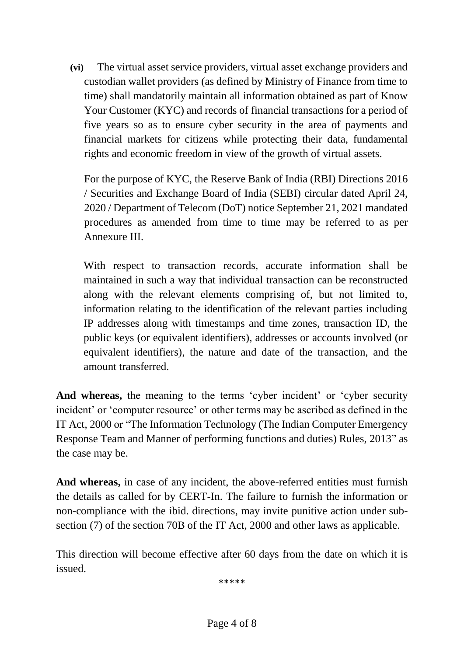**(vi)** The virtual asset service providers, virtual asset exchange providers and custodian wallet providers (as defined by Ministry of Finance from time to time) shall mandatorily maintain all information obtained as part of Know Your Customer (KYC) and records of financial transactions for a period of five years so as to ensure cyber security in the area of payments and financial markets for citizens while protecting their data, fundamental rights and economic freedom in view of the growth of virtual assets.

For the purpose of KYC, the Reserve Bank of India (RBI) Directions 2016 / Securities and Exchange Board of India (SEBI) circular dated April 24, 2020 / Department of Telecom (DoT) notice September 21, 2021 mandated procedures as amended from time to time may be referred to as per Annexure III.

With respect to transaction records, accurate information shall be maintained in such a way that individual transaction can be reconstructed along with the relevant elements comprising of, but not limited to, information relating to the identification of the relevant parties including IP addresses along with timestamps and time zones, transaction ID, the public keys (or equivalent identifiers), addresses or accounts involved (or equivalent identifiers), the nature and date of the transaction, and the amount transferred.

**And whereas,** the meaning to the terms 'cyber incident' or 'cyber security incident' or 'computer resource' or other terms may be ascribed as defined in the IT Act, 2000 or "The Information Technology (The Indian Computer Emergency Response Team and Manner of performing functions and duties) Rules, 2013" as the case may be.

**And whereas,** in case of any incident, the above-referred entities must furnish the details as called for by CERT-In. The failure to furnish the information or non-compliance with the ibid. directions, may invite punitive action under subsection (7) of the section 70B of the IT Act, 2000 and other laws as applicable.

This direction will become effective after 60 days from the date on which it is issued.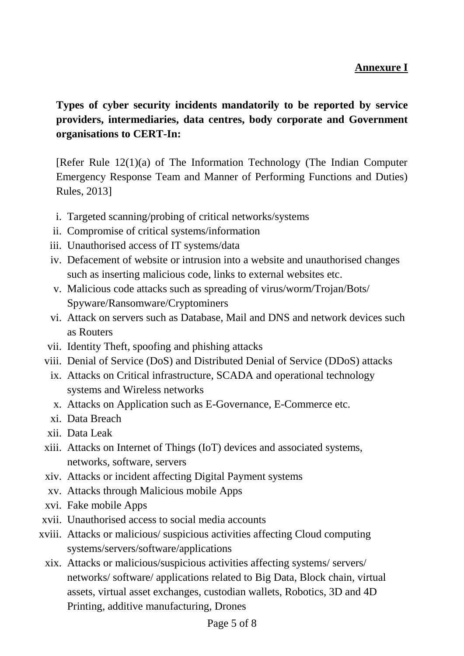## **Annexure I**

**Types of cyber security incidents mandatorily to be reported by service providers, intermediaries, data centres, body corporate and Government organisations to CERT-In:**

[Refer Rule 12(1)(a) of The Information Technology (The Indian Computer Emergency Response Team and Manner of Performing Functions and Duties) Rules, 2013]

- i. Targeted scanning/probing of critical networks/systems
- ii. Compromise of critical systems/information
- iii. Unauthorised access of IT systems/data
- iv. Defacement of website or intrusion into a website and unauthorised changes such as inserting malicious code, links to external websites etc.
- v. Malicious code attacks such as spreading of virus/worm/Trojan/Bots/ Spyware/Ransomware/Cryptominers
- vi. Attack on servers such as Database, Mail and DNS and network devices such as Routers
- vii. Identity Theft, spoofing and phishing attacks
- viii. Denial of Service (DoS) and Distributed Denial of Service (DDoS) attacks
	- ix. Attacks on Critical infrastructure, SCADA and operational technology systems and Wireless networks
	- x. Attacks on Application such as E-Governance, E-Commerce etc.
	- xi. Data Breach
- xii. Data Leak
- xiii. Attacks on Internet of Things (IoT) devices and associated systems, networks, software, servers
- xiv. Attacks or incident affecting Digital Payment systems
- xv. Attacks through Malicious mobile Apps
- xvi. Fake mobile Apps
- xvii. Unauthorised access to social media accounts
- xviii. Attacks or malicious/ suspicious activities affecting Cloud computing systems/servers/software/applications
	- xix. Attacks or malicious/suspicious activities affecting systems/ servers/ networks/ software/ applications related to Big Data, Block chain, virtual assets, virtual asset exchanges, custodian wallets, Robotics, 3D and 4D Printing, additive manufacturing, Drones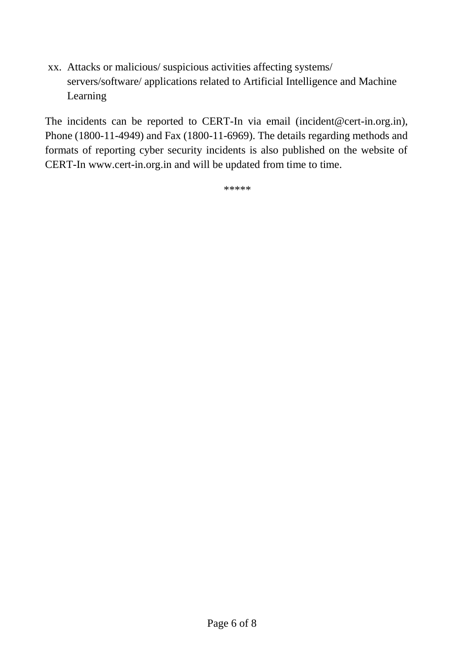xx. Attacks or malicious/ suspicious activities affecting systems/ servers/software/ applications related to Artificial Intelligence and Machine Learning

The incidents can be reported to CERT-In via email (incident@cert-in.org.in), Phone (1800-11-4949) and Fax (1800-11-6969). The details regarding methods and formats of reporting cyber security incidents is also published on the website of CERT-In www.cert-in.org.in and will be updated from time to time.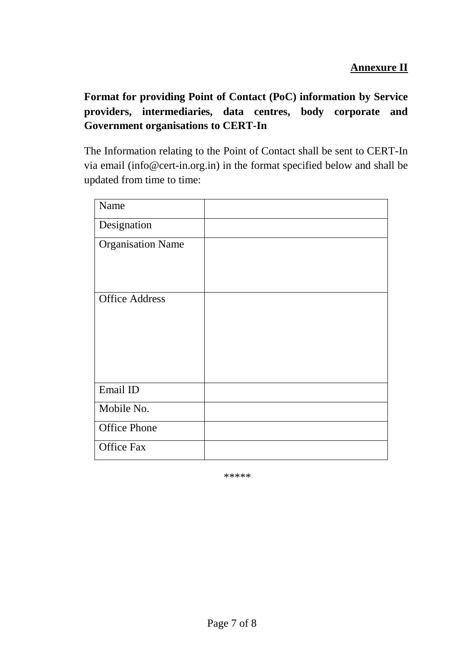**Format for providing Point of Contact (PoC) information by Service providers, intermediaries, data centres, body corporate and Government organisations to CERT-In**

The Information relating to the Point of Contact shall be sent to CERT-In via email (info@cert-in.org.in) in the format specified below and shall be updated from time to time:

| Name                     |  |
|--------------------------|--|
| Designation              |  |
| <b>Organisation Name</b> |  |
|                          |  |
|                          |  |
| <b>Office Address</b>    |  |
|                          |  |
|                          |  |
|                          |  |
|                          |  |
| Email ID                 |  |
| Mobile No.               |  |
| <b>Office Phone</b>      |  |
| <b>Office Fax</b>        |  |